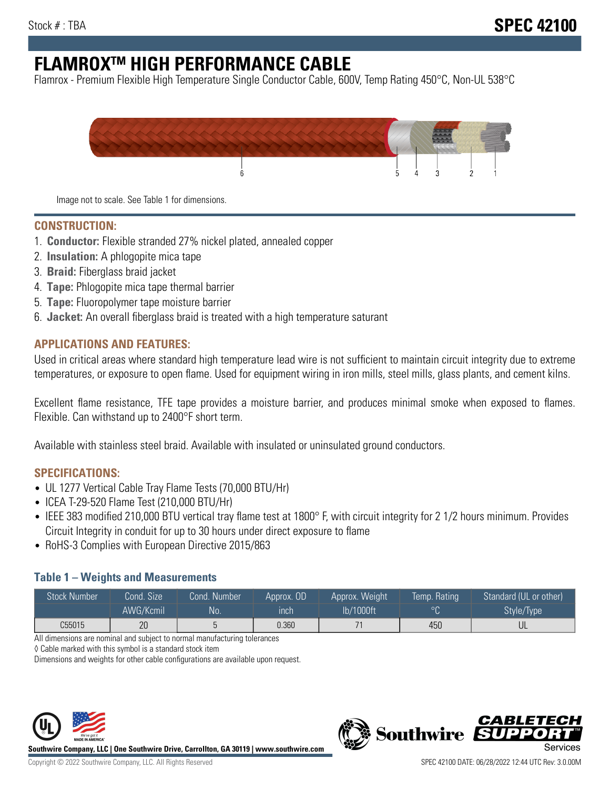# **FLAMROXTM HIGH PERFORMANCE CABLE**

Flamrox - Premium Flexible High Temperature Single Conductor Cable, 600V, Temp Rating 450°C, Non-UL 538°C



Image not to scale. See Table 1 for dimensions.

#### **CONSTRUCTION:**

- 1. **Conductor:** Flexible stranded 27% nickel plated, annealed copper
- 2. **Insulation:** A phlogopite mica tape
- 3. **Braid:** Fiberglass braid jacket
- 4. **Tape:** Phlogopite mica tape thermal barrier
- 5. **Tape:** Fluoropolymer tape moisture barrier
- 6. **Jacket:** An overall fiberglass braid is treated with a high temperature saturant

#### **APPLICATIONS AND FEATURES:**

Used in critical areas where standard high temperature lead wire is not sufficient to maintain circuit integrity due to extreme temperatures, or exposure to open flame. Used for equipment wiring in iron mills, steel mills, glass plants, and cement kilns.

Excellent flame resistance, TFE tape provides a moisture barrier, and produces minimal smoke when exposed to flames. Flexible. Can withstand up to 2400°F short term.

Available with stainless steel braid. Available with insulated or uninsulated ground conductors.

#### **SPECIFICATIONS:**

- UL 1277 Vertical Cable Tray Flame Tests (70,000 BTU/Hr)
- ICEA T-29-520 Flame Test (210,000 BTU/Hr)
- IEEE 383 modified 210,000 BTU vertical tray flame test at 1800° F, with circuit integrity for 2 1/2 hours minimum. Provides Circuit Integrity in conduit for up to 30 hours under direct exposure to flame
- RoHS-3 Complies with European Directive 2015/863

#### **Table 1 – Weights and Measurements**

| <b>Stock Number</b> | Cond. Size | Cond. Number | Approx. OD | Approx. Weight | Temp. Rating | Standard (UL or other)  |
|---------------------|------------|--------------|------------|----------------|--------------|-------------------------|
|                     | AWG/Kcmil  | <b>No</b>    | inch       | lb/1000ft      | $\circ$      | Style/Type <sup>1</sup> |
| C55015              | 20         |              | 0.360      |                | 450          | UL                      |

All dimensions are nominal and subject to normal manufacturing tolerances

◊ Cable marked with this symbol is a standard stock item

Dimensions and weights for other cable configurations are available upon request.



**Southwire Company, LLC | One Southwire Drive, Carrollton, GA 30119 | www.southwire.com**